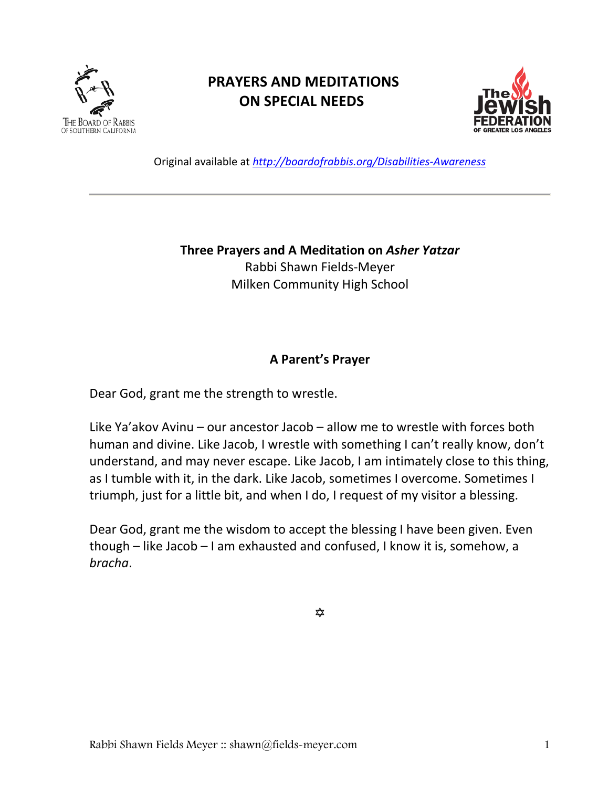

# **PRAYERS AND MEDITATIONS ON SPECIAL NEEDS**



Original available at *<http://boardofrabbis.org/Disabilities-Awareness>*

**Three Prayers and A Meditation on** *Asher Yatzar* Rabbi Shawn Fields-Meyer Milken Community High School

### **A Parent's Prayer**

Dear God, grant me the strength to wrestle.

Like Ya'akov Avinu – our ancestor Jacob – allow me to wrestle with forces both human and divine. Like Jacob, I wrestle with something I can't really know, don't understand, and may never escape. Like Jacob, I am intimately close to this thing, as I tumble with it, in the dark. Like Jacob, sometimes I overcome. Sometimes I triumph, just for a little bit, and when I do, I request of my visitor a blessing.

Dear God, grant me the wisdom to accept the blessing I have been given. Even though – like Jacob – I am exhausted and confused, I know it is, somehow, a *bracha*.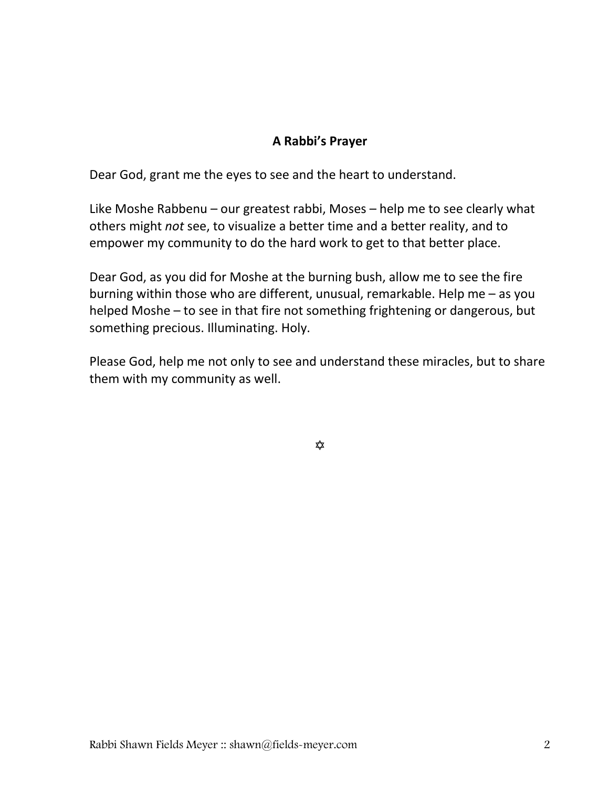# **A Rabbi's Prayer**

Dear God, grant me the eyes to see and the heart to understand.

Like Moshe Rabbenu – our greatest rabbi, Moses – help me to see clearly what others might *not* see, to visualize a better time and a better reality, and to empower my community to do the hard work to get to that better place.

Dear God, as you did for Moshe at the burning bush, allow me to see the fire burning within those who are different, unusual, remarkable. Help me – as you helped Moshe – to see in that fire not something frightening or dangerous, but something precious. Illuminating. Holy.

Please God, help me not only to see and understand these miracles, but to share them with my community as well.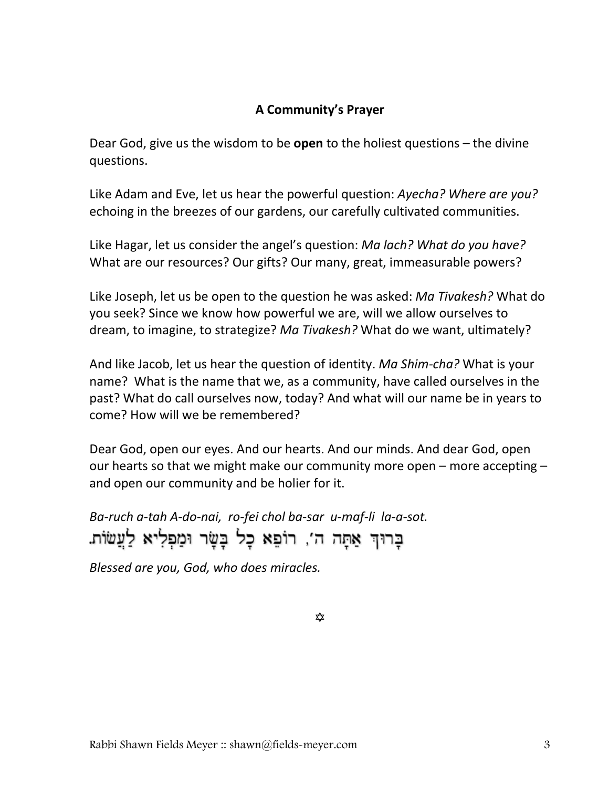# **A Community's Prayer**

Dear God, give us the wisdom to be **open** to the holiest questions – the divine questions.

Like Adam and Eve, let us hear the powerful question: *Ayecha? Where are you?* echoing in the breezes of our gardens, our carefully cultivated communities.

Like Hagar, let us consider the angel's question: *Ma lach? What do you have?* What are our resources? Our gifts? Our many, great, immeasurable powers?

Like Joseph, let us be open to the question he was asked: *Ma Tivakesh?* What do you seek? Since we know how powerful we are, will we allow ourselves to dream, to imagine, to strategize? *Ma Tivakesh?* What do we want, ultimately?

And like Jacob, let us hear the question of identity. *Ma Shim-cha?* What is your name? What is the name that we, as a community, have called ourselves in the past? What do call ourselves now, today? And what will our name be in years to come? How will we be remembered?

Dear God, open our eyes. And our hearts. And our minds. And dear God, open our hearts so that we might make our community more open – more accepting – and open our community and be holier for it.

*Ba-ruch a-tah A-do-nai, ro-fei chol ba-sar u-maf-li la-a-sot.* בָרוּךְ אַתָּה ה', רוֹפֵא כָל בָּשָּׂר וּמַפְלִיא לַעֲשׂוֹת.

*Blessed are you, God, who does miracles.*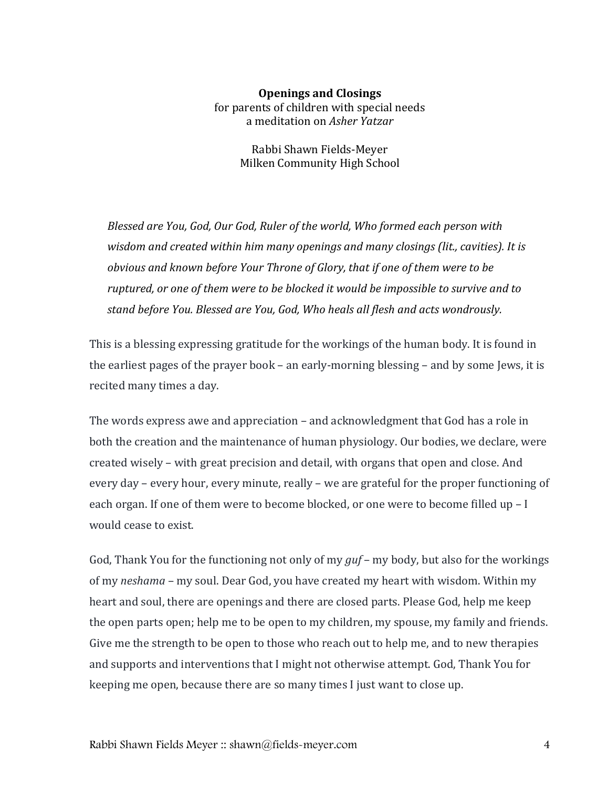### **Openings and Closings** for parents of children with special needs a meditation on *Asher Yatzar*

Rabbi Shawn Fields-Meyer Milken Community High School

*Blessed are You, God, Our God, Ruler of the world, Who formed each person with wisdom and created within him many openings and many closings (lit., cavities). It is obvious and known before Your Throne of Glory, that if one of them were to be ruptured, or one of them were to be blocked it would be impossible to survive and to stand before You. Blessed are You, God, Who heals all flesh and acts wondrously.*

This is a blessing expressing gratitude for the workings of the human body. It is found in the earliest pages of the prayer book – an early-morning blessing – and by some Jews, it is recited many times a day.

The words express awe and appreciation – and acknowledgment that God has a role in both the creation and the maintenance of human physiology. Our bodies, we declare, were created wisely – with great precision and detail, with organs that open and close. And every day – every hour, every minute, really – we are grateful for the proper functioning of each organ. If one of them were to become blocked, or one were to become filled up – I would cease to exist.

God, Thank You for the functioning not only of my *guf* – my body, but also for the workings of my *neshama* – my soul. Dear God, you have created my heart with wisdom. Within my heart and soul, there are openings and there are closed parts. Please God, help me keep the open parts open; help me to be open to my children, my spouse, my family and friends. Give me the strength to be open to those who reach out to help me, and to new therapies and supports and interventions that I might not otherwise attempt. God, Thank You for keeping me open, because there are so many times I just want to close up.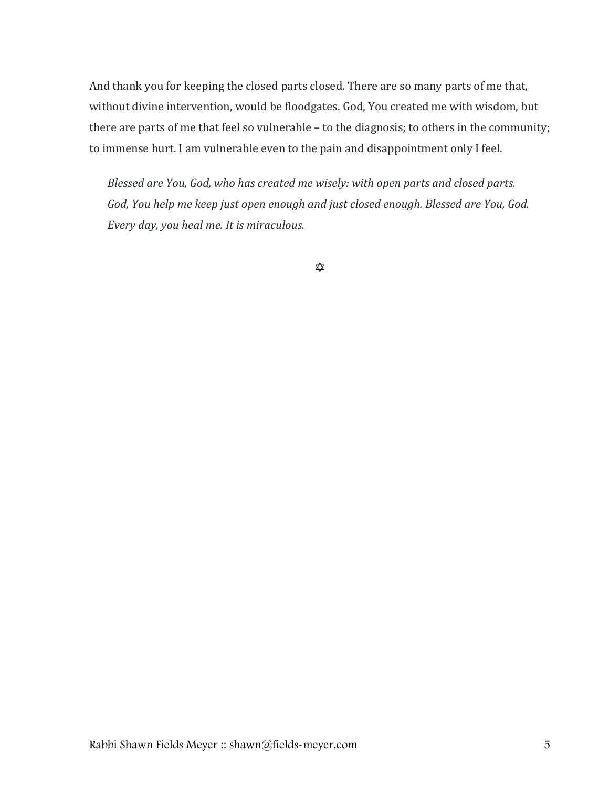And thank you for keeping the closed parts closed. There are so many parts of me that, without divine intervention, would be floodgates. God, You created me with wisdom, but there are parts of me that feel so vulnerable – to the diagnosis; to others in the community; to immense hurt. I am vulnerable even to the pain and disappointment only I feel.

*Blessed are You, God, who has created me wisely: with open parts and closed parts. God, You help me keep just open enough and just closed enough. Blessed are You, God. Every day, you heal me. It is miraculous.*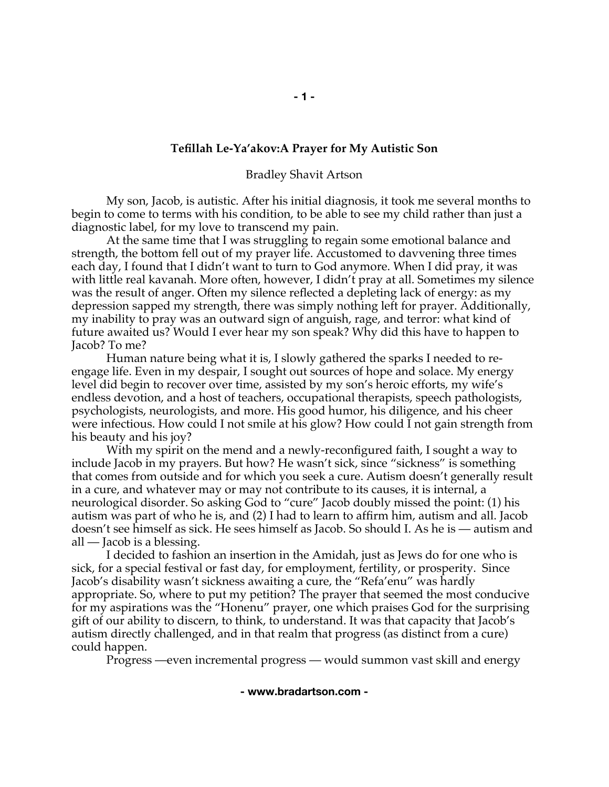### **Tefillah Le-Ya'akov:A Prayer for My Autistic Son**

#### Bradley Shavit Artson

My son, Jacob, is autistic. After his initial diagnosis, it took me several months to begin to come to terms with his condition, to be able to see my child rather than just a diagnostic label, for my love to transcend my pain.

At the same time that I was struggling to regain some emotional balance and strength, the bottom fell out of my prayer life. Accustomed to davvening three times each day, I found that I didn't want to turn to God anymore. When I did pray, it was with little real kavanah. More often, however, I didn't pray at all. Sometimes my silence was the result of anger. Often my silence reflected a depleting lack of energy: as my depression sapped my strength, there was simply nothing left for prayer. Additionally, my inability to pray was an outward sign of anguish, rage, and terror: what kind of future awaited us? Would I ever hear my son speak? Why did this have to happen to Jacob? To me?

Human nature being what it is, I slowly gathered the sparks I needed to reengage life. Even in my despair, I sought out sources of hope and solace. My energy level did begin to recover over time, assisted by my son's heroic efforts, my wife's endless devotion, and a host of teachers, occupational therapists, speech pathologists, psychologists, neurologists, and more. His good humor, his diligence, and his cheer were infectious. How could I not smile at his glow? How could I not gain strength from his beauty and his joy?

With my spirit on the mend and a newly-reconfigured faith, I sought a way to include Jacob in my prayers. But how? He wasn't sick, since "sickness" is something that comes from outside and for which you seek a cure. Autism doesn't generally result in a cure, and whatever may or may not contribute to its causes, it is internal, a neurological disorder. So asking God to "cure" Jacob doubly missed the point: (1) his autism was part of who he is, and (2) I had to learn to affirm him, autism and all. Jacob doesn't see himself as sick. He sees himself as Jacob. So should I. As he is — autism and all — Jacob is a blessing.

I decided to fashion an insertion in the Amidah, just as Jews do for one who is sick, for a special festival or fast day, for employment, fertility, or prosperity. Since Jacob's disability wasn't sickness awaiting a cure, the "Refa'enu" was hardly appropriate. So, where to put my petition? The prayer that seemed the most conducive for my aspirations was the "Honenu" prayer, one which praises God for the surprising gift of our ability to discern, to think, to understand. It was that capacity that Jacob's autism directly challenged, and in that realm that progress (as distinct from a cure) could happen.

Progress —even incremental progress — would summon vast skill and energy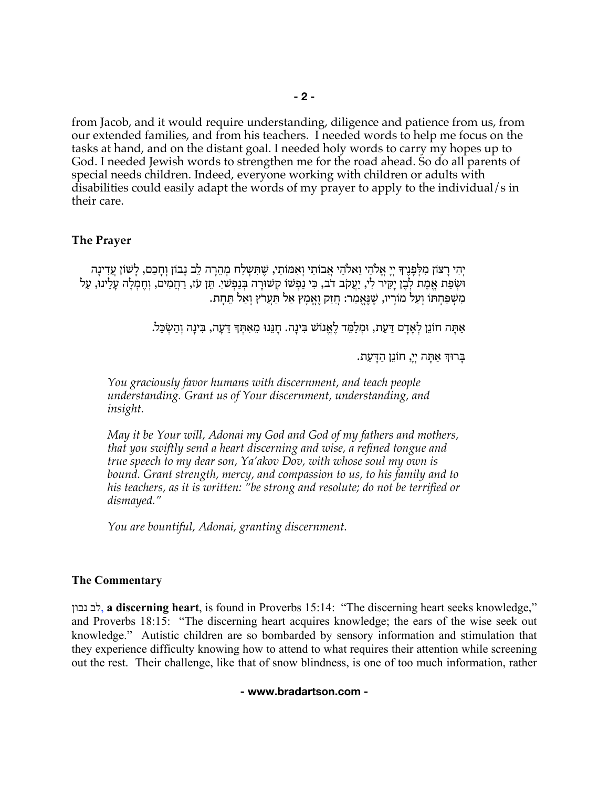from Jacob, and it would require understanding, diligence and patience from us, from our extended families, and from his teachers. I needed words to help me focus on the tasks at hand, and on the distant goal. I needed holy words to carry my hopes up to God. I needed Jewish words to strengthen me for the road ahead. So do all parents of special needs children. Indeed, everyone working with children or adults with disabilities could easily adapt the words of my prayer to apply to the individual/s in their care.

### **The Prayer**

ִיהִי רָצוֹן מִלְפָּנֵיךָ יִיָ אֱלֹהֵי וֵאלֹהֵי אֲבוֹתַי וְאִמּוֹתַי, שֵׁתִּשְלַח מְהֵרָה לֵב נָבוֹן וְחַכַם, לַשׁוֹן עַדִינַה וּשְׂפַת אֱמֶת לְבֶן יָקִיר לִי, יַעֲקֹב דֹב, כִּי נַפְשׁוֹ קְשׁוּרָה בְּנַפְשׁי. תֵּן עֹז, רַחֲמִים, וְחֶמְלָה עָלֵינוֹ, עַל ִמ ְשַׁפּ ְחתּוֹ ְוַעל ָמוֹריו, ֶשֶׁנֱּאַמר: ֲחַזק ֶוֱאָמץ ַאל ַתֲּערֹץ ְוַאל ֵתָּחת.

ַאָתּה ֵחוֹנן ְלָאָדם ַדַּעת, וּ ְמַלֵמּד ֶלֱאנוֹשׁ ִבּ ָינה. ָחֵנּנוּ ֵמ ִא ְתּ? ֵדָּעה, ִבּ ָינה ְוַה ְשֵׂכּל.

ָבּרוּךְ אִתָּה יִי, חוֹנֵן הדעת.

*You graciously favor humans with discernment, and teach people understanding. Grant us of Your discernment, understanding, and insight.* 

*May it be Your will, Adonai my God and God of my fathers and mothers, that you swiftly send a heart discerning and wise, a refined tongue and true speech to my dear son, Ya'akov Dov, with whose soul my own is bound. Grant strength, mercy, and compassion to us, to his family and to his teachers, as it is written: "be strong and resolute; do not be terrified or dismayed."*

*You are bountiful, Adonai, granting discernment.*

#### **The Commentary**

נבון לב, **a discerning heart**, is found in Proverbs 15:14: "The discerning heart seeks knowledge," and Proverbs 18:15: "The discerning heart acquires knowledge; the ears of the wise seek out knowledge." Autistic children are so bombarded by sensory information and stimulation that they experience difficulty knowing how to attend to what requires their attention while screening out the rest. Their challenge, like that of snow blindness, is one of too much information, rather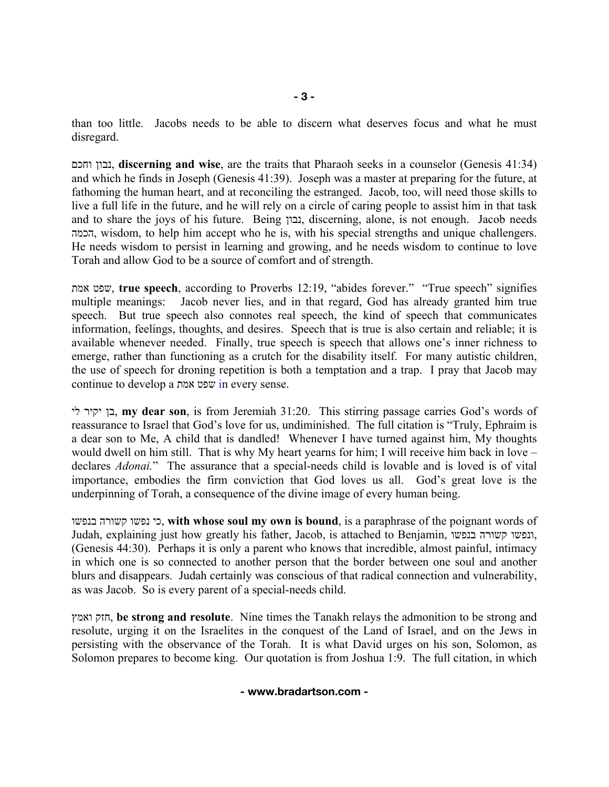than too little. Jacobs needs to be able to discern what deserves focus and what he must disregard.

וחכם נבון, **discerning and wise**, are the traits that Pharaoh seeks in a counselor (Genesis 41:34) and which he finds in Joseph (Genesis 41:39). Joseph was a master at preparing for the future, at fathoming the human heart, and at reconciling the estranged. Jacob, too, will need those skills to live a full life in the future, and he will rely on a circle of caring people to assist him in that task and to share the joys of his future. Being נבון, discerning, alone, is not enough. Jacob needs הכמה, wisdom, to help him accept who he is, with his special strengths and unique challengers. He needs wisdom to persist in learning and growing, and he needs wisdom to continue to love Torah and allow God to be a source of comfort and of strength.

אמת שפט, **true speech**, according to Proverbs 12:19, "abides forever." "True speech" signifies multiple meanings: Jacob never lies, and in that regard, God has already granted him true speech. But true speech also connotes real speech, the kind of speech that communicates information, feelings, thoughts, and desires. Speech that is true is also certain and reliable; it is available whenever needed. Finally, true speech is speech that allows one's inner richness to emerge, rather than functioning as a crutch for the disability itself. For many autistic children, the use of speech for droning repetition is both a temptation and a trap. I pray that Jacob may continue to develop a אמת שפט in every sense.

לי יקיר בן, **my dear son**, is from Jeremiah 31:20. This stirring passage carries God's words of reassurance to Israel that God's love for us, undiminished. The full citation is "Truly, Ephraim is a dear son to Me, A child that is dandled! Whenever I have turned against him, My thoughts would dwell on him still. That is why My heart yearns for him; I will receive him back in love – declares *Adonai.*" The assurance that a special-needs child is lovable and is loved is of vital importance, embodies the firm conviction that God loves us all. God's great love is the underpinning of Torah, a consequence of the divine image of every human being.

בנפשו קשורה נפשו כי, **with whose soul my own is bound**, is a paraphrase of the poignant words of Judah, explaining just how greatly his father, Jacob, is attached to Benjamin, בנפשו קשורה ונפשו, (Genesis 44:30). Perhaps it is only a parent who knows that incredible, almost painful, intimacy in which one is so connected to another person that the border between one soul and another blurs and disappears. Judah certainly was conscious of that radical connection and vulnerability, as was Jacob. So is every parent of a special-needs child.

ואמץ חזק, **be strong and resolute**. Nine times the Tanakh relays the admonition to be strong and resolute, urging it on the Israelites in the conquest of the Land of Israel, and on the Jews in persisting with the observance of the Torah. It is what David urges on his son, Solomon, as Solomon prepares to become king. Our quotation is from Joshua 1:9. The full citation, in which